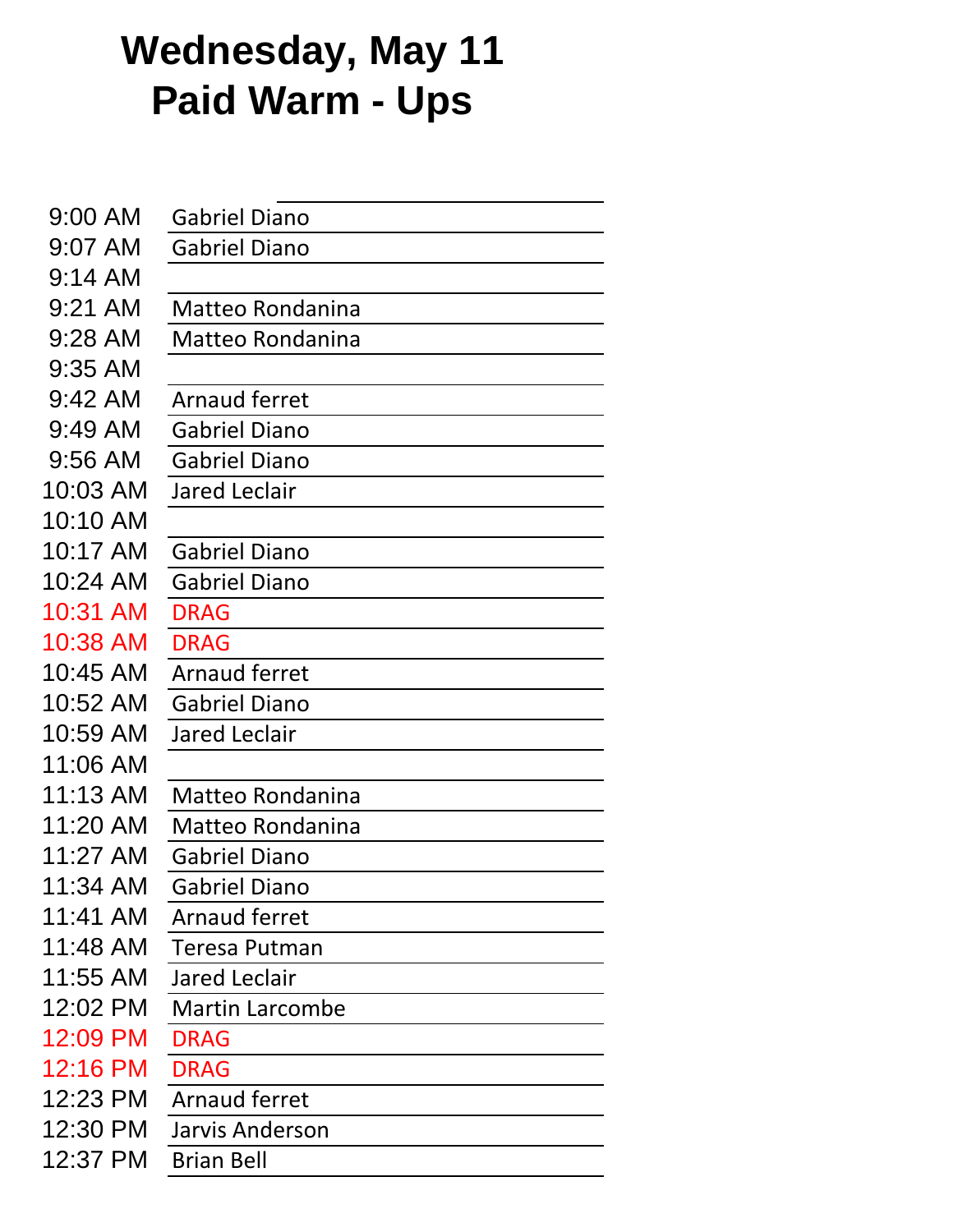## **Wednesday, May 11 Paid Warm - Ups**

| <b>Gabriel Diano</b>   |
|------------------------|
| <b>Gabriel Diano</b>   |
|                        |
| Matteo Rondanina       |
| Matteo Rondanina       |
|                        |
| <b>Arnaud ferret</b>   |
| Gabriel Diano          |
| <b>Gabriel Diano</b>   |
| <b>Jared Leclair</b>   |
|                        |
| <b>Gabriel Diano</b>   |
| <b>Gabriel Diano</b>   |
| <b>DRAG</b>            |
| <b>DRAG</b>            |
| <b>Arnaud ferret</b>   |
| <b>Gabriel Diano</b>   |
| <b>Jared Leclair</b>   |
|                        |
| Matteo Rondanina       |
| Matteo Rondanina       |
| <b>Gabriel Diano</b>   |
| Gabriel Diano          |
| <b>Arnaud ferret</b>   |
| Teresa Putman          |
| Jared Leclair          |
| <b>Martin Larcombe</b> |
| <b>DRAG</b>            |
| <b>DRAG</b>            |
| <b>Arnaud ferret</b>   |
| Jarvis Anderson        |
| <b>Brian Bell</b>      |
|                        |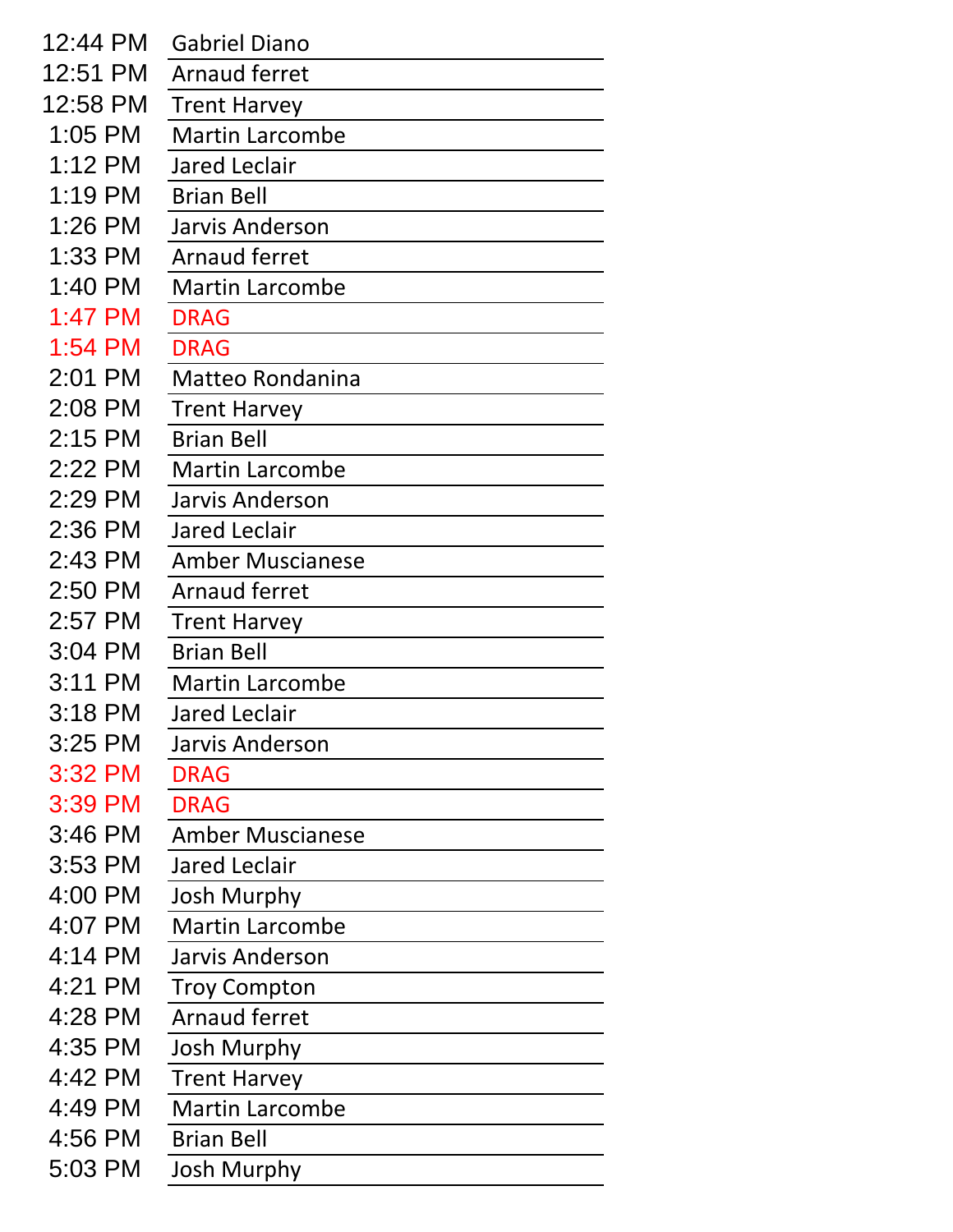| 12:44 PM  | <b>Gabriel Diano</b>    |
|-----------|-------------------------|
| 12:51 PM  | Arnaud ferret           |
| 12:58 PM  | <b>Trent Harvey</b>     |
| 1:05 PM   | <b>Martin Larcombe</b>  |
| 1:12 PM   | <b>Jared Leclair</b>    |
| $1:19$ PM | <b>Brian Bell</b>       |
| 1:26 PM   | Jarvis Anderson         |
| 1:33 PM   | <b>Arnaud ferret</b>    |
| 1:40 PM   | <b>Martin Larcombe</b>  |
| $1:47$ PM | <b>DRAG</b>             |
| 1:54 PM   | <b>DRAG</b>             |
| 2:01 PM   | <b>Matteo Rondanina</b> |
| 2:08 PM   | <b>Trent Harvey</b>     |
| $2:15$ PM | <b>Brian Bell</b>       |
| 2:22 PM   | <b>Martin Larcombe</b>  |
| 2:29 PM   | Jarvis Anderson         |
| 2:36 PM   | <b>Jared Leclair</b>    |
| 2:43 PM   | <b>Amber Muscianese</b> |
| 2:50 PM   | <b>Arnaud ferret</b>    |
| 2:57 PM   | <b>Trent Harvey</b>     |
| 3:04 PM   | <b>Brian Bell</b>       |
| 3:11 PM   | <b>Martin Larcombe</b>  |
| 3:18 PM   | Jared Leclair           |
| 3:25 PM   | <b>Jarvis Anderson</b>  |
| 3:32 PM   | <b>DRAG</b>             |
| 3:39 PM   | <b>DRAG</b>             |
| 3:46 PM   | <b>Amber Muscianese</b> |
| 3:53 PM   | <b>Jared Leclair</b>    |
| 4:00 PM   | <b>Josh Murphy</b>      |
| 4:07 PM   | <b>Martin Larcombe</b>  |
| 4:14 PM   | <b>Jarvis Anderson</b>  |
| 4:21 PM   | <b>Troy Compton</b>     |
| 4:28 PM   | <b>Arnaud ferret</b>    |
| 4:35 PM   | <b>Josh Murphy</b>      |
| 4:42 PM   | <b>Trent Harvey</b>     |
| 4:49 PM   | <b>Martin Larcombe</b>  |
| 4:56 PM   | <b>Brian Bell</b>       |
| 5:03 PM   | Josh Murphy             |